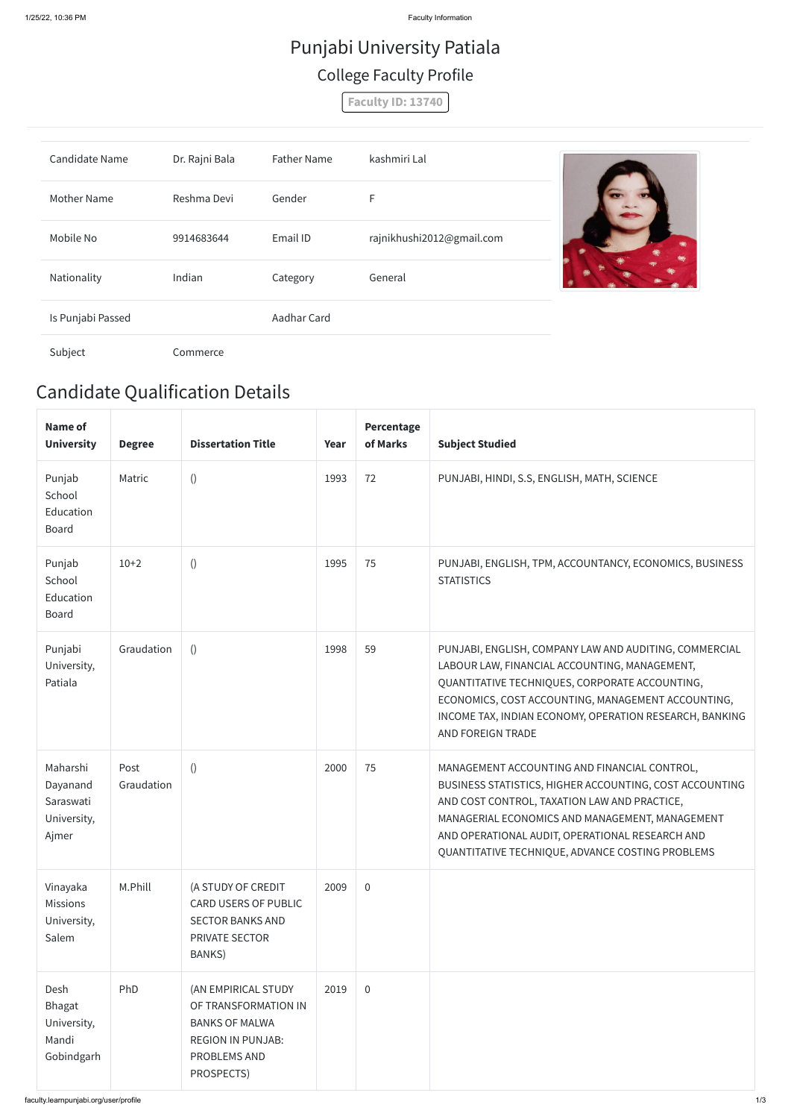## Candidate Qualification Details

| <b>Name of</b><br><b>University</b>                       | <b>Degree</b>      | <b>Dissertation Title</b>                                                                                                      | Year | <b>Percentage</b><br>of Marks | <b>Subject Studied</b>                                                                                                                                                                                                                                                                                            |
|-----------------------------------------------------------|--------------------|--------------------------------------------------------------------------------------------------------------------------------|------|-------------------------------|-------------------------------------------------------------------------------------------------------------------------------------------------------------------------------------------------------------------------------------------------------------------------------------------------------------------|
| Punjab<br>School<br>Education<br><b>Board</b>             | Matric             | $\left( \right)$                                                                                                               | 1993 | 72                            | PUNJABI, HINDI, S.S, ENGLISH, MATH, SCIENCE                                                                                                                                                                                                                                                                       |
| Punjab<br>School<br>Education<br><b>Board</b>             | $10+2$             | $\left( \right)$                                                                                                               | 1995 | 75                            | PUNJABI, ENGLISH, TPM, ACCOUNTANCY, ECONOMICS, BUSINESS<br><b>STATISTICS</b>                                                                                                                                                                                                                                      |
| Punjabi<br>University,<br>Patiala                         | Graudation         | ()                                                                                                                             | 1998 | 59                            | PUNJABI, ENGLISH, COMPANY LAW AND AUDITING, COMMERCIAL<br>LABOUR LAW, FINANCIAL ACCOUNTING, MANAGEMENT,<br>QUANTITATIVE TECHNIQUES, CORPORATE ACCOUNTING,<br>ECONOMICS, COST ACCOUNTING, MANAGEMENT ACCOUNTING,<br>INCOME TAX, INDIAN ECONOMY, OPERATION RESEARCH, BANKING<br>AND FOREIGN TRADE                   |
| Maharshi<br>Dayanand<br>Saraswati<br>University,<br>Ajmer | Post<br>Graudation | $\left( \right)$                                                                                                               | 2000 | 75                            | MANAGEMENT ACCOUNTING AND FINANCIAL CONTROL,<br>BUSINESS STATISTICS, HIGHER ACCOUNTING, COST ACCOUNTING<br>AND COST CONTROL, TAXATION LAW AND PRACTICE,<br>MANAGERIAL ECONOMICS AND MANAGEMENT, MANAGEMENT<br>AND OPERATIONAL AUDIT, OPERATIONAL RESEARCH AND<br>QUANTITATIVE TECHNIQUE, ADVANCE COSTING PROBLEMS |
| Vinayaka<br><b>Missions</b><br>University,<br>Salem       | M.Phill            | (A STUDY OF CREDIT<br><b>CARD USERS OF PUBLIC</b><br><b>SECTOR BANKS AND</b><br>PRIVATE SECTOR<br>BANKS)                       | 2009 | $\overline{0}$                |                                                                                                                                                                                                                                                                                                                   |
| Desh<br>Bhagat<br>University,<br>Mandi<br>Gobindgarh      | PhD                | (AN EMPIRICAL STUDY<br>OF TRANSFORMATION IN<br><b>BANKS OF MALWA</b><br><b>REGION IN PUNJAB:</b><br>PROBLEMS AND<br>PROSPECTS) | 2019 | $\overline{0}$                |                                                                                                                                                                                                                                                                                                                   |

## Punjabi University Patiala College Faculty Profile

**Faculty ID: 13740**

| <b>Candidate Name</b> | Dr. Rajni Bala | <b>Father Name</b> | kashmiri Lal              |  |
|-----------------------|----------------|--------------------|---------------------------|--|
| <b>Mother Name</b>    | Reshma Devi    | Gender             | F                         |  |
| Mobile No             | 9914683644     | Email ID           | rajnikhushi2012@gmail.com |  |
| Nationality           | Indian         | Category           | General                   |  |
| Is Punjabi Passed     |                | Aadhar Card        |                           |  |
| Subject               | Commerce       |                    |                           |  |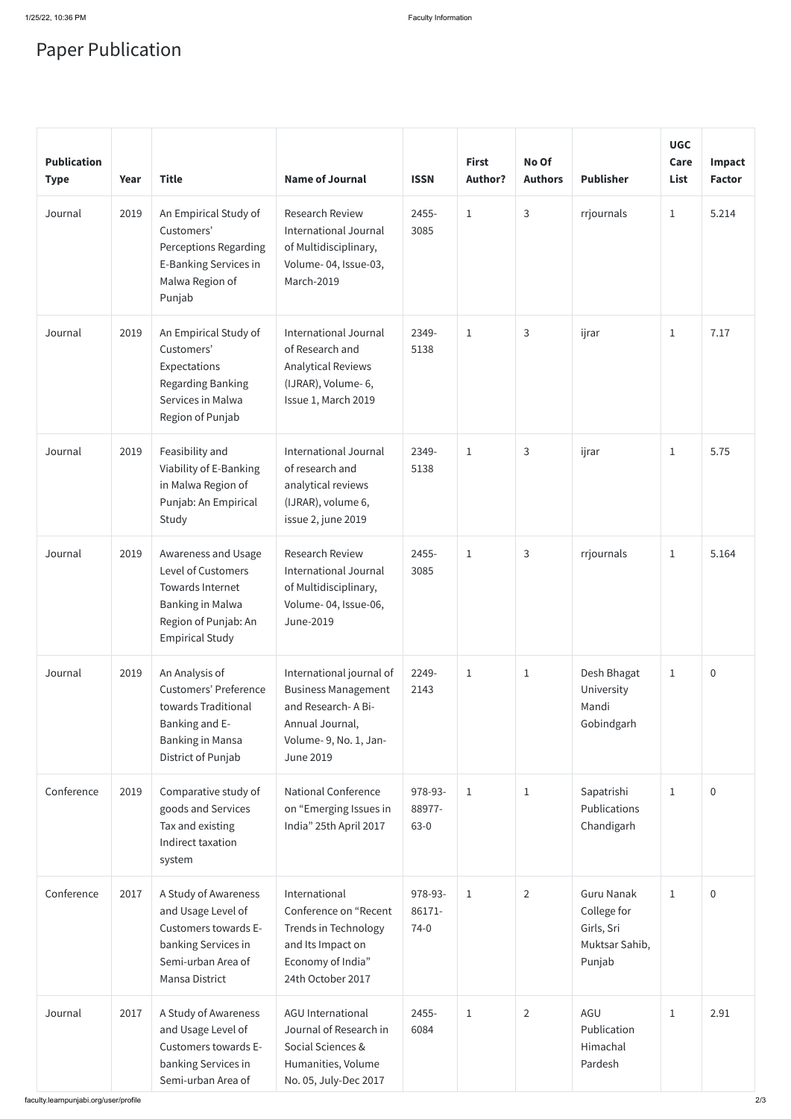## Paper Publication

| <b>Publication</b><br><b>Type</b> | Year | <b>Title</b>                                                                                                                                      | <b>Name of Journal</b>                                                                                                                       | <b>ISSN</b>                   | <b>First</b><br><b>Author?</b> | No Of<br><b>Authors</b> | <b>Publisher</b>                                                           | <b>UGC</b><br>Care<br>List | Impact<br><b>Factor</b> |
|-----------------------------------|------|---------------------------------------------------------------------------------------------------------------------------------------------------|----------------------------------------------------------------------------------------------------------------------------------------------|-------------------------------|--------------------------------|-------------------------|----------------------------------------------------------------------------|----------------------------|-------------------------|
| Journal                           | 2019 | An Empirical Study of<br>Customers'<br><b>Perceptions Regarding</b><br>E-Banking Services in<br>Malwa Region of<br>Punjab                         | <b>Research Review</b><br>International Journal<br>of Multidisciplinary,<br>Volume-04, Issue-03,<br>March-2019                               | 2455-<br>3085                 | $\mathbf{1}$                   | $\mathsf{3}$            | rrjournals                                                                 | $\mathbf{1}$               | 5.214                   |
| Journal                           | 2019 | An Empirical Study of<br>Customers'<br>Expectations<br>Regarding Banking<br>Services in Malwa<br>Region of Punjab                                 | <b>International Journal</b><br>of Research and<br><b>Analytical Reviews</b><br>(IJRAR), Volume-6,<br>Issue 1, March 2019                    | 2349-<br>5138                 | $\mathbf{1}$                   | 3                       | ijrar                                                                      | $\mathbf{1}$               | 7.17                    |
| Journal                           | 2019 | Feasibility and<br>Viability of E-Banking<br>in Malwa Region of<br>Punjab: An Empirical<br>Study                                                  | <b>International Journal</b><br>of research and<br>analytical reviews<br>(IJRAR), volume 6,<br>issue 2, june 2019                            | 2349-<br>5138                 | $\mathbf{1}$                   | 3                       | ijrar                                                                      | $\mathbf{1}$               | 5.75                    |
| Journal                           | 2019 | Awareness and Usage<br><b>Level of Customers</b><br>Towards Internet<br><b>Banking in Malwa</b><br>Region of Punjab: An<br><b>Empirical Study</b> | Research Review<br><b>International Journal</b><br>of Multidisciplinary,<br>Volume-04, Issue-06,<br>June-2019                                | 2455-<br>3085                 | $\mathbf{1}$                   | $\mathsf{3}$            | rrjournals                                                                 | $\mathbf{1}$               | 5.164                   |
| Journal                           | 2019 | An Analysis of<br><b>Customers' Preference</b><br>towards Traditional<br>Banking and E-<br><b>Banking in Mansa</b><br>District of Punjab          | International journal of<br><b>Business Management</b><br>and Research-A Bi-<br>Annual Journal,<br>Volume-9, No. 1, Jan-<br><b>June 2019</b> | 2249-<br>2143                 | $\mathbf{1}$                   | $\mathbf{1}$            | Desh Bhagat<br>University<br>Mandi<br>Gobindgarh                           | $\mathbf{1}$               | $\pmb{0}$               |
| Conference                        | 2019 | Comparative study of<br>goods and Services<br>Tax and existing<br>Indirect taxation<br>system                                                     | <b>National Conference</b><br>on "Emerging Issues in<br>India" 25th April 2017                                                               | 978-93-<br>88977-<br>$63 - 0$ | $\mathbf{1}$                   | $\mathbf{1}$            | Sapatrishi<br>Publications<br>Chandigarh                                   | $\mathbf{1}$               | $\pmb{0}$               |
| Conference                        | 2017 | A Study of Awareness<br>and Usage Level of<br>Customers towards E-<br>banking Services in<br>Semi-urban Area of<br><b>Mansa District</b>          | International<br>Conference on "Recent<br>Trends in Technology<br>and Its Impact on<br>Economy of India"<br>24th October 2017                | 978-93-<br>86171-<br>$74-0$   | $\mathbf{1}$                   | $\overline{2}$          | <b>Guru Nanak</b><br>College for<br>Girls, Sri<br>Muktsar Sahib,<br>Punjab | $\mathbf{1}$               | $\overline{0}$          |
| Journal                           | 2017 | A Study of Awareness<br>and Usage Level of<br>Customers towards E-<br>banking Services in<br>Semi-urban Area of                                   | AGU International<br>Journal of Research in<br>Social Sciences &<br>Humanities, Volume<br>No. 05, July-Dec 2017                              | 2455-<br>6084                 | $\mathbf{1}$                   | $\overline{2}$          | AGU<br>Publication<br>Himachal<br>Pardesh                                  | $\mathbf{1}$               | 2.91                    |